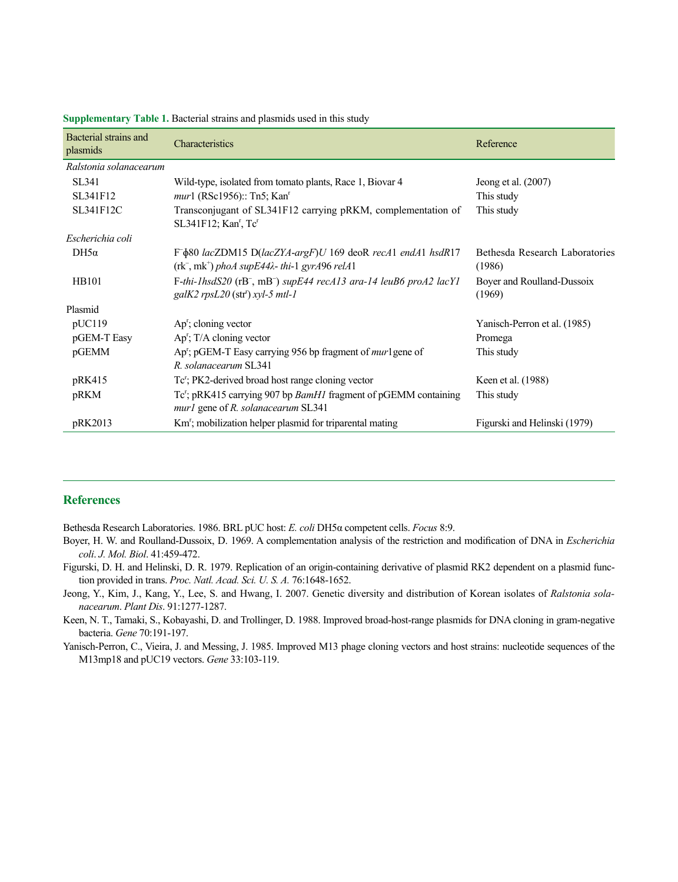| Bacterial strains and<br>plasmids | Characteristics                                                                                                                             | Reference                                |
|-----------------------------------|---------------------------------------------------------------------------------------------------------------------------------------------|------------------------------------------|
| Ralstonia solanacearum            |                                                                                                                                             |                                          |
| SL341                             | Wild-type, isolated from tomato plants, Race 1, Biovar 4                                                                                    | Jeong et al. $(2007)$                    |
| SL341F12                          | mur1 (RSc1956):: Tn5; Kan <sup>r</sup>                                                                                                      | This study                               |
| SL341F12C                         | Transconjugant of SL341F12 carrying pRKM, complementation of<br>$SL341F12$ ; Kan', Tc'                                                      | This study                               |
| Escherichia coli                  |                                                                                                                                             |                                          |
| $DH5\alpha$                       | F- $\delta$ 80 lacZDM15 D(lacZYA-argF)U 169 deoR recA1 endA1 hsdR17<br>$(rk^{-}, mk^{+})$ phoA supE44 $\lambda$ - thi-1 gyrA96 relA1        | Bethesda Research Laboratories<br>(1986) |
| <b>HB101</b>                      | F-thi-1hsdS20 (rB <sup>-</sup> , mB <sup>-</sup> ) supE44 recA13 ara-14 leuB6 proA2 lacY1<br>$galK2$ rpsL20 (str <sup>r</sup> ) xyl-5 mtl-1 | Boyer and Roulland-Dussoix<br>(1969)     |
| Plasmid                           |                                                                                                                                             |                                          |
| pUC119                            | $Apr$ ; cloning vector                                                                                                                      | Yanisch-Perron et al. (1985)             |
| pGEM-T Easy                       | $Apr$ ; T/A cloning vector                                                                                                                  | Promega                                  |
| pGEMM                             | Ap'; pGEM-T Easy carrying 956 bp fragment of mur1gene of<br>R. solanacearum SL341                                                           | This study                               |
| pRK415                            | Tc'; PK2-derived broad host range cloning vector                                                                                            | Keen et al. (1988)                       |
| pRKM                              | Tc'; pRK415 carrying 907 bp <i>BamH1</i> fragment of pGEMM containing<br>mur1 gene of R. solanacearum SL341                                 | This study                               |
| pRK2013                           | Km <sup>r</sup> ; mobilization helper plasmid for triparental mating                                                                        | Figurski and Helinski (1979)             |

**Supplementary Table 1.** Bacterial strains and plasmids used in this study

## **References**

Bethesda Research Laboratories. 1986. BRL pUC host: *E. coli* DH5α competent cells. *Focus* 8:9.

- Boyer, H. W. and Roulland-Dussoix, D. 1969. A complementation analysis of the restriction and modification of DNA in *Escherichia coli*. *J. Mol. Biol*. 41:459-472.
- Figurski, D. H. and Helinski, D. R. 1979. Replication of an origin-containing derivative of plasmid RK2 dependent on a plasmid function provided in trans. Proc. Natl. Acad. Sci. U. S. A. 76:1648-1652.
- Jeong, Y., Kim, J., Kang, Y., Lee, S. and Hwang, I. 2007. Genetic diversity and distribution of Korean isolates of *Ralstonia solanacearum*. *Plant Dis*. 91:1277-1287.
- Keen, N. T., Tamaki, S., Kobayashi, D. and Trollinger, D. 1988. Improved broad-host-range plasmids for DNA cloning in gram-negative bacteria. *Gene* 70:191-197.
- Yanisch-Perron, C., Vieira, J. and Messing, J. 1985. Improved M13 phage cloning vectors and host strains: nucleotide sequences of the M13mp18 and pUC19 vectors. *Gene* 33:103-119.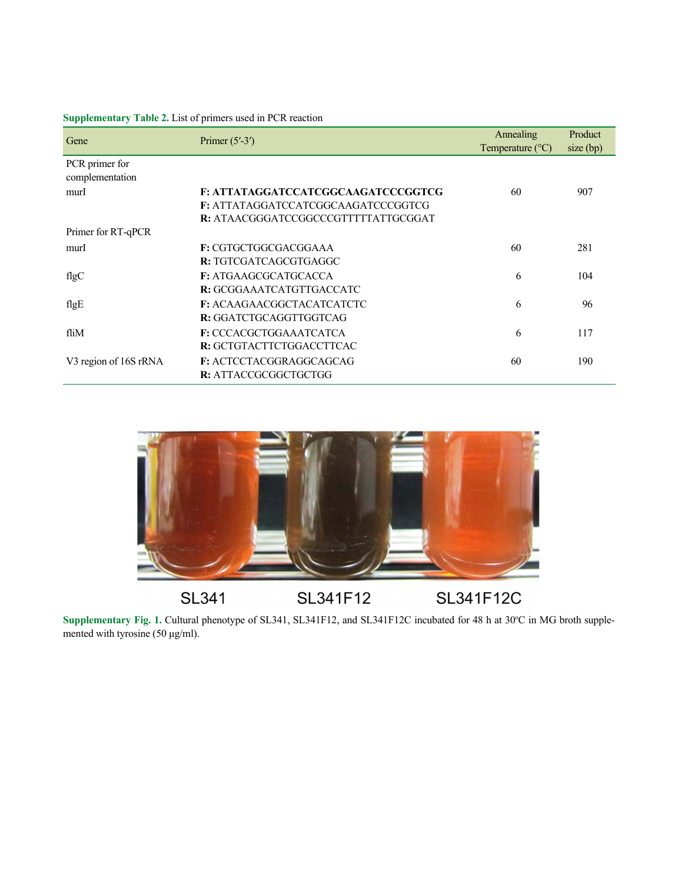| Gene                              | Primer $(5'$ -3')                   | Annealing<br>Temperature $(^{\circ}C)$ | Product<br>$size$ (bp) |
|-----------------------------------|-------------------------------------|----------------------------------------|------------------------|
| PCR primer for<br>complementation |                                     |                                        |                        |
| murI                              | F: ATTATAGGATCCATCGGCAAGATCCCGGTCG  | 60                                     | 907                    |
|                                   | F: ATTATAGGATCCATCGGCAAGATCCCGGTCG  |                                        |                        |
|                                   | R: ATAACGGGATCCGGCCCGTTTTTATTGCGGAT |                                        |                        |
| Primer for RT-qPCR                |                                     |                                        |                        |
| murI                              | F: CGTGCTGGCGACGGAAA                | 60                                     | 281                    |
|                                   | R: TGTCGATCAGCGTGAGGC               |                                        |                        |
| flgC                              | <b>F: ATGAAGCGCATGCACCA</b>         | 6                                      | 104                    |
|                                   | R: GCGGAAATCATGTTGACCATC            |                                        |                        |
| flg $E$                           | <b>F: ACAAGAACGGCTACATCATCTC</b>    | 6                                      | 96                     |
|                                   | R: GGATCTGCAGGTTGGTCAG              |                                        |                        |
| fliM                              | F: CCCACGCTGGAAATCATCA              | 6                                      | 117                    |
|                                   | R: GCTGTACTTCTGGACCTTCAC            |                                        |                        |
| V3 region of 16S rRNA             | F: ACTCCTACGGRAGGCAGCAG             | 60                                     | 190                    |
|                                   | R: ATTACCGCGGCTGCTGG                |                                        |                        |

## **Supplementary Table 2.** List of primers used in PCR reaction



Supplementary Fig. 1. Cultural phenotype of SL341, SL341F12, and SL341F12C incubated for 48 h at 30°C in MG broth supplemented with tyrosine (50 μg/ml).